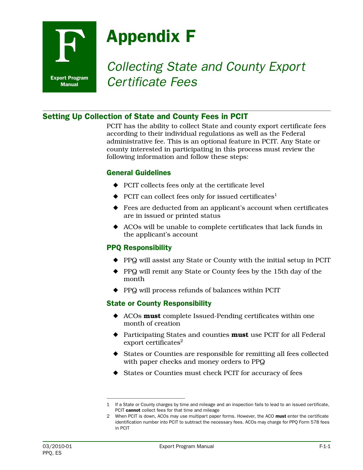

# **F Appendix F**<br>*Collecting State and County Export Certificate Fees*

# Setting Up Collection of State and County Fees in PCIT

PCIT has the ability to collect State and county export certificate fees according to their individual regulations as well as the Federal administrative fee. This is an optional feature in PCIT. Any State or county interested in participating in this process must review the following information and follow these steps:

## General Guidelines

- ◆ PCIT collects fees only at the certificate level
- $\blacklozenge$  PCIT can collect fees only for issued certificates<sup>1</sup>
- ◆ Fees are deducted from an applicant's account when certificates are in issued or printed status
- ◆ ACOs will be unable to complete certificates that lack funds in the applicant's account

### PPQ Responsibility

- ◆ PPQ will assist any State or County with the initial setup in PCIT
- ◆ PPQ will remit any State or County fees by the 15th day of the month
- ◆ PPQ will process refunds of balances within PCIT

### State or County Responsibility

- ◆ ACOs **must** complete Issued-Pending certificates within one month of creation
- ◆ Participating States and counties **must** use PCIT for all Federal export certificates<sup>2</sup>
- ◆ States or Counties are responsible for remitting all fees collected with paper checks and money orders to PPQ
- ◆ States or Counties must check PCIT for accuracy of fees

<sup>1</sup> If a State or County charges by time and mileage and an inspection fails to lead to an issued certificate, PCIT cannot collect fees for that time and mileage

<sup>2</sup> When PCIT is down, ACOs may use multipart paper forms. However, the ACO must enter the certificate identification number into PCIT to subtract the necessary fees. ACOs may charge for PPQ Form 578 fees in PCIT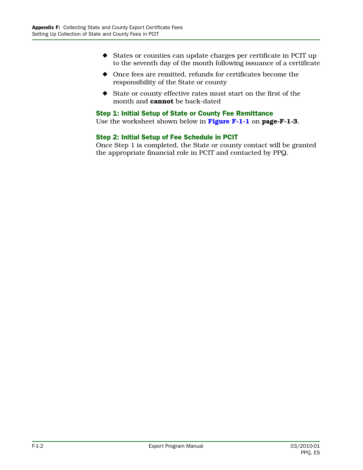- ◆ States or counties can update charges per certificate in PCIT up to the seventh day of the month following issuance of a certificate
- ◆ Once fees are remitted, refunds for certificates become the responsibility of the State or county
- ◆ State or county effective rates must start on the first of the month and **cannot** be back-dated

#### Step 1: Initial Setup of State or County Fee Remittance

Use the worksheet shown below in **[Figure F-1-1](#page-2-0)** on **page-F-1-3**.

#### Step 2: Initial Setup of Fee Schedule in PCIT

Once Step 1 is completed, the State or county contact will be granted the appropriate financial role in PCIT and contacted by PPQ.